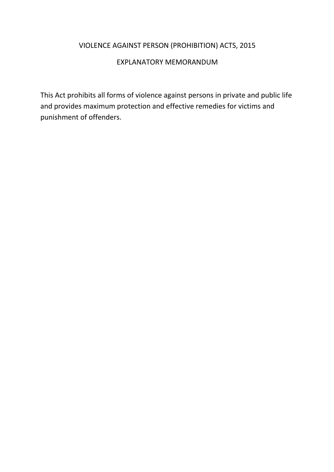# VIOLENCE AGAINST PERSON (PROHIBITION) ACTS, 2015

# EXPLANATORY MEMORANDUM

This Act prohibits all forms of violence against persons in private and public life and provides maximum protection and effective remedies for victims and punishment of offenders.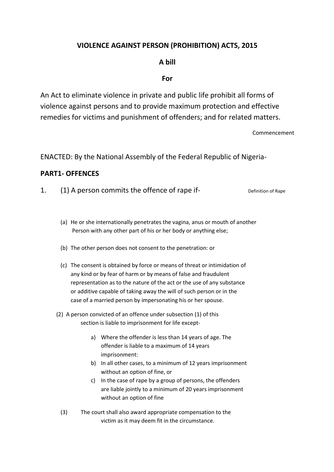# **VIOLENCE AGAINST PERSON (PROHIBITION) ACTS, 2015**

### **A bill**

#### **For**

An Act to eliminate violence in private and public life prohibit all forms of violence against persons and to provide maximum protection and effective remedies for victims and punishment of offenders; and for related matters.

Commencement

ENACTED: By the National Assembly of the Federal Republic of Nigeria-

#### **PART1- OFFENCES**

|  | (1) A person commits the offence of rape if- | Definition of Rape |
|--|----------------------------------------------|--------------------|
|--|----------------------------------------------|--------------------|

- (a) He or she internationally penetrates the vagina, anus or mouth of another Person with any other part of his or her body or anything else;
- (b) The other person does not consent to the penetration: or
- (c) The consent is obtained by force or means of threat or intimidation of any kind or by fear of harm or by means of false and fraudulent representation as to the nature of the act or the use of any substance or additive capable of taking away the will of such person or in the case of a married person by impersonating his or her spouse.
- (2) A person convicted of an offence under subsection (1) of this section is liable to imprisonment for life except
	- a) Where the offender is less than 14 years of age. The offender is liable to a maximum of 14 years imprisonment:
	- b) In all other cases, to a minimum of 12 years imprisonment without an option of fine, or
	- c) In the case of rape by a group of persons, the offenders are liable jointly to a minimum of 20 years imprisonment without an option of fine
	- (3) The court shall also award appropriate compensation to the victim as it may deem fit in the circumstance.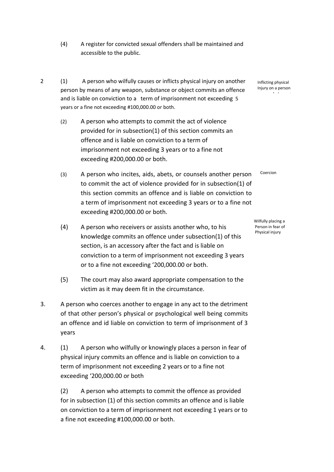- (4) A register for convicted sexual offenders shall be maintained and accessible to the public.
- 2 (1) A person who wilfully causes or inflicts physical injury on another person by means of any weapon, substance or object commits an offence and is liable on conviction to a term of imprisonment not exceeding 5 years or a fine not exceeding #100,000.00 or both.
	- (2) A person who attempts to commit the act of violence provided for in subsection(1) of this section commits an offence and is liable on conviction to a term of imprisonment not exceeding 3 years or to a fine not exceeding #200,000.00 or both.
	- (3) A person who incites, aids, abets, or counsels another person to commit the act of violence provided for in subsection(1) of this section commits an offence and is liable on conviction to a term of imprisonment not exceeding 3 years or to a fine not exceeding #200,000.00 or both.
	- (4) A person who receivers or assists another who, to his knowledge commits an offence under subsection(1) of this section, is an accessory after the fact and is liable on conviction to a term of imprisonment not exceeding 3 years or to a fine not exceeding '200,000.00 or both.
	- (5) The court may also award appropriate compensation to the victim as it may deem fit in the circumstance.
- 3. A person who coerces another to engage in any act to the detriment of that other person's physical or psychological well being commits an offence and id liable on conviction to term of imprisonment of 3 years
- 4. (1) A person who wilfully or knowingly places a person in fear of physical injury commits an offence and is liable on conviction to a term of imprisonment not exceeding 2 years or to a fine not exceeding '200,000.00 or both

(2) A person who attempts to commit the offence as provided for in subsection (1) of this section commits an offence and is liable on conviction to a term of imprisonment not exceeding 1 years or to a fine not exceeding #100,000.00 or both.

Inflicting physical Injury on a person complainant

Coercion

Wilfully placing a Person in fear of Physical injury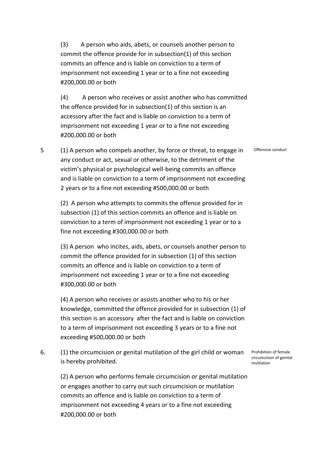(3) A person who aids, abets, or counsels another person to commit the offence provide for in subsection(1) of this section commits an offence and is liable on conviction to a term of imprisonment not exceeding 1 year or to a fine not exceeding #200,000.00 or both

(4) A person who receives or assist another who has committed the offence provided for in subsection(1) of this section is an accessory after the fact and is liable on conviction to a term of imprisonment not exceeding 1 year or to a fine not exceeding #200,000.00 or both

Offensive conduct

5 (1) A person who compels another, by force or threat, to engage in any conduct or act, sexual or otherwise, to the detriment of the victim's physical or psychological well-being commits an offence and is liable on conviction to a term of imprisonment not exceeding 2 years or to a fine not exceeding #500,000.00 or both

(2) A person who attempts to commits the offence provided for in subsection (1) of this section commits an offence and is liable on conviction to a term of imprisonment not exceeding 1 year or to a fine not exceeding #300,000.00 or both

(3) A person who incites, aids, abets, or counsels another person to commit the offence provided for in subsection (1) of this section commits an offence and is liable on conviction to a term of imprisonment not exceeding 1 year or to a fine not exceeding #300,000.00 or both

(4) A person who receives or assists another who to his or her knowledge, committed the offence provided for in subsection (1) of this section is an accessory after the fact and is liable on conviction to a term of imprisonment not exceeding 3 years or to a fine not exceeding #500,000.00 or both

6. (1) the circumcision or genital mutilation of the girl child or woman is hereby prohibited.

(2) A person who performs female circumcision or genital mutilation or engages another to carry out such circumcision or mutilation commits an offence and is liable on conviction to a term of imprisonment not exceeding 4 years or to a fine not exceeding #200,000.00 or both

Prohibition of female circumcision of genital mutilation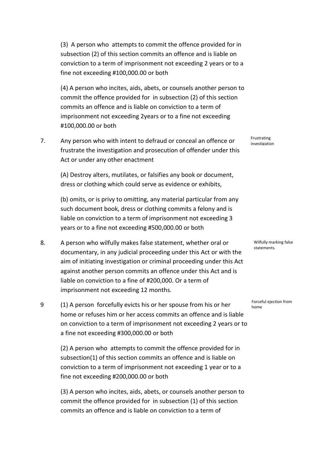(3) A person who attempts to commit the offence provided for in subsection (2) of this section commits an offence and is liable on conviction to a term of imprisonment not exceeding 2 years or to a fine not exceeding #100,000.00 or both

(4) A person who incites, aids, abets, or counsels another person to commit the offence provided for in subsection (2) of this section commits an offence and is liable on conviction to a term of imprisonment not exceeding 2years or to a fine not exceeding #100,000.00 or both

7. Any person who with intent to defraud or conceal an offence or frustrate the investigation and prosecution of offender under this Act or under any other enactment

(A) Destroy alters, mutilates, or falsifies any book or document, dress or clothing which could serve as evidence or exhibits,

(b) omits, or is privy to omitting, any material particular from any such document book, dress or clothing commits a felony and is liable on conviction to a term of imprisonment not exceeding 3 years or to a fine not exceeding #500,000.00 or both

- 8. A person who wilfully makes false statement, whether oral or documentary, in any judicial proceeding under this Act or with the aim of initiating investigation or criminal proceeding under this Act against another person commits an offence under this Act and is liable on conviction to a fine of #200,000. Or a term of imprisonment not exceeding 12 months.
- 9 (1) A person forcefully evicts his or her spouse from his or her home or refuses him or her access commits an offence and is liable on conviction to a term of imprisonment not exceeding 2 years or to a fine not exceeding #300,000.00 or both

(2) A person who attempts to commit the offence provided for in subsection(1) of this section commits an offence and is liable on conviction to a term of imprisonment not exceeding 1 year or to a fine not exceeding #200,000.00 or both

(3) A person who incites, aids, abets, or counsels another person to commit the offence provided for in subsection (1) of this section commits an offence and is liable on conviction to a term of

Frustrating investigation

> Wilfully marking false statements.

Forceful ejection from home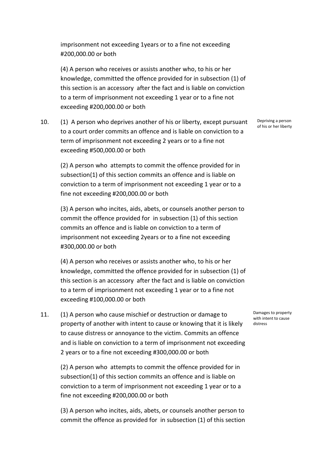imprisonment not exceeding 1years or to a fine not exceeding #200,000.00 or both

(4) A person who receives or assists another who, to his or her knowledge, committed the offence provided for in subsection (1) of this section is an accessory after the fact and is liable on conviction to a term of imprisonment not exceeding 1 year or to a fine not exceeding #200,000.00 or both

10. (1) A person who deprives another of his or liberty, except pursuant to a court order commits an offence and is liable on conviction to a term of imprisonment not exceeding 2 years or to a fine not exceeding #500,000.00 or both

(2) A person who attempts to commit the offence provided for in subsection(1) of this section commits an offence and is liable on conviction to a term of imprisonment not exceeding 1 year or to a fine not exceeding #200,000.00 or both

(3) A person who incites, aids, abets, or counsels another person to commit the offence provided for in subsection (1) of this section commits an offence and is liable on conviction to a term of imprisonment not exceeding 2years or to a fine not exceeding #300,000.00 or both

(4) A person who receives or assists another who, to his or her knowledge, committed the offence provided for in subsection (1) of this section is an accessory after the fact and is liable on conviction to a term of imprisonment not exceeding 1 year or to a fine not exceeding #100,000.00 or both

11. (1) A person who cause mischief or destruction or damage to property of another with intent to cause or knowing that it is likely to cause distress or annoyance to the victim. Commits an offence and is liable on conviction to a term of imprisonment not exceeding 2 years or to a fine not exceeding #300,000.00 or both

(2) A person who attempts to commit the offence provided for in subsection(1) of this section commits an offence and is liable on conviction to a term of imprisonment not exceeding 1 year or to a fine not exceeding #200,000.00 or both

(3) A person who incites, aids, abets, or counsels another person to commit the offence as provided for in subsection (1) of this section Depriving a person of his or her liberty

Damages to property with intent to cause distress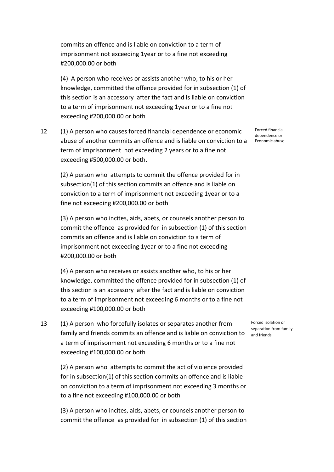commits an offence and is liable on conviction to a term of imprisonment not exceeding 1year or to a fine not exceeding #200,000.00 or both

(4) A person who receives or assists another who, to his or her knowledge, committed the offence provided for in subsection (1) of this section is an accessory after the fact and is liable on conviction to a term of imprisonment not exceeding 1year or to a fine not exceeding #200,000.00 or both

12 (1) A person who causes forced financial dependence or economic abuse of another commits an offence and is liable on conviction to a term of imprisonment not exceeding 2 years or to a fine not exceeding #500,000.00 or both.

(2) A person who attempts to commit the offence provided for in subsection(1) of this section commits an offence and is liable on conviction to a term of imprisonment not exceeding 1year or to a fine not exceeding #200,000.00 or both

(3) A person who incites, aids, abets, or counsels another person to commit the offence as provided for in subsection (1) of this section commits an offence and is liable on conviction to a term of imprisonment not exceeding 1year or to a fine not exceeding #200,000.00 or both

(4) A person who receives or assists another who, to his or her knowledge, committed the offence provided for in subsection (1) of this section is an accessory after the fact and is liable on conviction to a term of imprisonment not exceeding 6 months or to a fine not exceeding #100,000.00 or both

13 (1) A person who forcefully isolates or separates another from family and friends commits an offence and is liable on conviction to a term of imprisonment not exceeding 6 months or to a fine not exceeding #100,000.00 or both

(2) A person who attempts to commit the act of violence provided for in subsection(1) of this section commits an offence and is liable on conviction to a term of imprisonment not exceeding 3 months or to a fine not exceeding #100,000.00 or both

(3) A person who incites, aids, abets, or counsels another person to commit the offence as provided for in subsection (1) of this section Forced financial dependence or Economic abuse

Forced isolation or separation from family and friends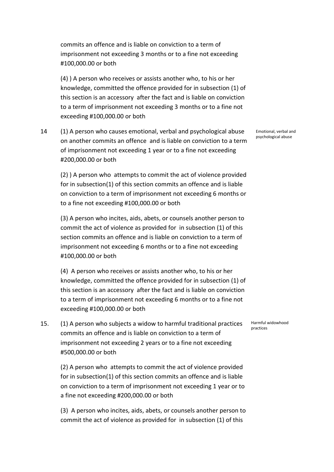commits an offence and is liable on conviction to a term of imprisonment not exceeding 3 months or to a fine not exceeding #100,000.00 or both

(4) ) A person who receives or assists another who, to his or her knowledge, committed the offence provided for in subsection (1) of this section is an accessory after the fact and is liable on conviction to a term of imprisonment not exceeding 3 months or to a fine not exceeding #100,000.00 or both

14 (1) A person who causes emotional, verbal and psychological abuse on another commits an offence and is liable on conviction to a term of imprisonment not exceeding 1 year or to a fine not exceeding #200,000.00 or both

(2) ) A person who attempts to commit the act of violence provided for in subsection(1) of this section commits an offence and is liable on conviction to a term of imprisonment not exceeding 6 months or to a fine not exceeding #100,000.00 or both

(3) A person who incites, aids, abets, or counsels another person to commit the act of violence as provided for in subsection (1) of this section commits an offence and is liable on conviction to a term of imprisonment not exceeding 6 months or to a fine not exceeding #100,000.00 or both

(4) A person who receives or assists another who, to his or her knowledge, committed the offence provided for in subsection (1) of this section is an accessory after the fact and is liable on conviction to a term of imprisonment not exceeding 6 months or to a fine not exceeding #100,000.00 or both

15. (1) A person who subjects a widow to harmful traditional practices commits an offence and is liable on conviction to a term of imprisonment not exceeding 2 years or to a fine not exceeding #500,000.00 or both

(2) A person who attempts to commit the act of violence provided for in subsection(1) of this section commits an offence and is liable on conviction to a term of imprisonment not exceeding 1 year or to a fine not exceeding #200,000.00 or both

(3) A person who incites, aids, abets, or counsels another person to commit the act of violence as provided for in subsection (1) of this

Emotional, verbal and psychological abuse

Harmful widowhood practices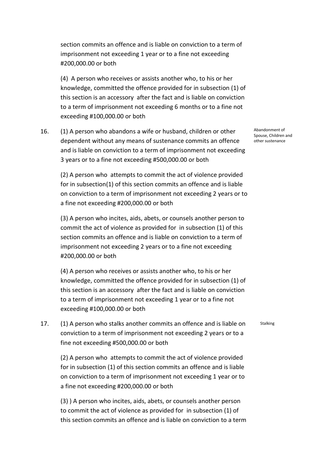section commits an offence and is liable on conviction to a term of imprisonment not exceeding 1 year or to a fine not exceeding #200,000.00 or both

(4) A person who receives or assists another who, to his or her knowledge, committed the offence provided for in subsection (1) of this section is an accessory after the fact and is liable on conviction to a term of imprisonment not exceeding 6 months or to a fine not exceeding #100,000.00 or both

16. (1) A person who abandons a wife or husband, children or other dependent without any means of sustenance commits an offence and is liable on conviction to a term of imprisonment not exceeding 3 years or to a fine not exceeding #500,000.00 or both

(2) A person who attempts to commit the act of violence provided for in subsection(1) of this section commits an offence and is liable on conviction to a term of imprisonment not exceeding 2 years or to a fine not exceeding #200,000.00 or both

(3) A person who incites, aids, abets, or counsels another person to commit the act of violence as provided for in subsection (1) of this section commits an offence and is liable on conviction to a term of imprisonment not exceeding 2 years or to a fine not exceeding #200,000.00 or both

(4) A person who receives or assists another who, to his or her knowledge, committed the offence provided for in subsection (1) of this section is an accessory after the fact and is liable on conviction to a term of imprisonment not exceeding 1 year or to a fine not exceeding #100,000.00 or both

17. (1) A person who stalks another commits an offence and is liable on conviction to a term of imprisonment not exceeding 2 years or to a fine not exceeding #500,000.00 or both

(2) A person who attempts to commit the act of violence provided for in subsection (1) of this section commits an offence and is liable on conviction to a term of imprisonment not exceeding 1 year or to a fine not exceeding #200,000.00 or both

(3) ) A person who incites, aids, abets, or counsels another person to commit the act of violence as provided for in subsection (1) of this section commits an offence and is liable on conviction to a term Abandonment of Spouse, Children and other sustenance

Stalking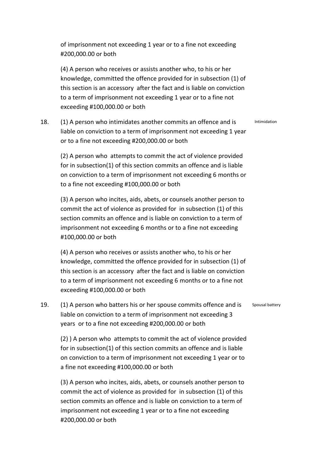of imprisonment not exceeding 1 year or to a fine not exceeding #200,000.00 or both

(4) A person who receives or assists another who, to his or her knowledge, committed the offence provided for in subsection (1) of this section is an accessory after the fact and is liable on conviction to a term of imprisonment not exceeding 1 year or to a fine not exceeding #100,000.00 or both

18. (1) A person who intimidates another commits an offence and is liable on conviction to a term of imprisonment not exceeding 1 year or to a fine not exceeding #200,000.00 or both

(2) A person who attempts to commit the act of violence provided for in subsection(1) of this section commits an offence and is liable on conviction to a term of imprisonment not exceeding 6 months or to a fine not exceeding #100,000.00 or both

(3) A person who incites, aids, abets, or counsels another person to commit the act of violence as provided for in subsection (1) of this section commits an offence and is liable on conviction to a term of imprisonment not exceeding 6 months or to a fine not exceeding #100,000.00 or both

(4) A person who receives or assists another who, to his or her knowledge, committed the offence provided for in subsection (1) of this section is an accessory after the fact and is liable on conviction to a term of imprisonment not exceeding 6 months or to a fine not exceeding #100,000.00 or both

19. (1) A person who batters his or her spouse commits offence and is liable on conviction to a term of imprisonment not exceeding 3 years or to a fine not exceeding #200,000.00 or both

(2) ) A person who attempts to commit the act of violence provided for in subsection(1) of this section commits an offence and is liable on conviction to a term of imprisonment not exceeding 1 year or to a fine not exceeding #100,000.00 or both

(3) A person who incites, aids, abets, or counsels another person to commit the act of violence as provided for in subsection (1) of this section commits an offence and is liable on conviction to a term of imprisonment not exceeding 1 year or to a fine not exceeding #200,000.00 or both

Intimidation

Spousal battery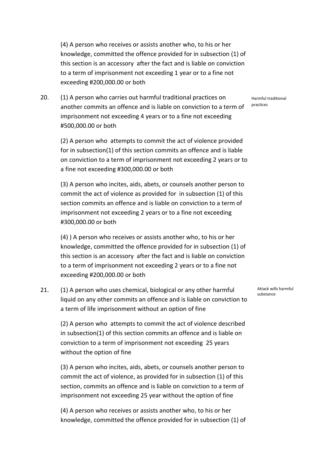(4) A person who receives or assists another who, to his or her knowledge, committed the offence provided for in subsection (1) of this section is an accessory after the fact and is liable on conviction to a term of imprisonment not exceeding 1 year or to a fine not exceeding #200,000.00 or both

20. (1) A person who carries out harmful traditional practices on another commits an offence and is liable on conviction to a term of imprisonment not exceeding 4 years or to a fine not exceeding #500,000.00 or both

(2) A person who attempts to commit the act of violence provided for in subsection(1) of this section commits an offence and is liable on conviction to a term of imprisonment not exceeding 2 years or to a fine not exceeding #300,000.00 or both

(3) A person who incites, aids, abets, or counsels another person to commit the act of violence as provided for in subsection (1) of this section commits an offence and is liable on conviction to a term of imprisonment not exceeding 2 years or to a fine not exceeding #300,000.00 or both

(4) ) A person who receives or assists another who, to his or her knowledge, committed the offence provided for in subsection (1) of this section is an accessory after the fact and is liable on conviction to a term of imprisonment not exceeding 2 years or to a fine not exceeding #200,000.00 or both

21. (1) A person who uses chemical, biological or any other harmful liquid on any other commits an offence and is liable on conviction to a term of life imprisonment without an option of fine

(2) A person who attempts to commit the act of violence described in subsection(1) of this section commits an offence and is liable on conviction to a term of imprisonment not exceeding 25 years without the option of fine

(3) A person who incites, aids, abets, or counsels another person to commit the act of violence, as provided for in subsection (1) of this section, commits an offence and is liable on conviction to a term of imprisonment not exceeding 25 year without the option of fine

(4) A person who receives or assists another who, to his or her knowledge, committed the offence provided for in subsection (1) of Attack wills harmful substance

Harmful traditional practices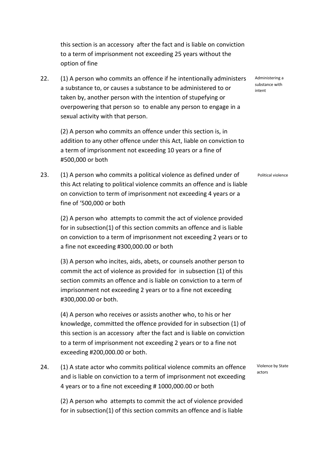this section is an accessory after the fact and is liable on conviction to a term of imprisonment not exceeding 25 years without the option of fine

22. (1) A person who commits an offence if he intentionally administers a substance to, or causes a substance to be administered to or taken by, another person with the intention of stupefying or overpowering that person so to enable any person to engage in a sexual activity with that person.

(2) A person who commits an offence under this section is, in addition to any other offence under this Act, liable on conviction to a term of imprisonment not exceeding 10 years or a fine of #500,000 or both

23. (1) A person who commits a political violence as defined under of this Act relating to political violence commits an offence and is liable on conviction to term of imprisonment not exceeding 4 years or a fine of '500,000 or both

(2) A person who attempts to commit the act of violence provided for in subsection(1) of this section commits an offence and is liable on conviction to a term of imprisonment not exceeding 2 years or to a fine not exceeding #300,000.00 or both

(3) A person who incites, aids, abets, or counsels another person to commit the act of violence as provided for in subsection (1) of this section commits an offence and is liable on conviction to a term of imprisonment not exceeding 2 years or to a fine not exceeding #300,000.00 or both.

(4) A person who receives or assists another who, to his or her knowledge, committed the offence provided for in subsection (1) of this section is an accessory after the fact and is liable on conviction to a term of imprisonment not exceeding 2 years or to a fine not exceeding #200,000.00 or both.

24. (1) A state actor who commits political violence commits an offence and is liable on conviction to a term of imprisonment not exceeding 4 years or to a fine not exceeding # 1000,000.00 or both

(2) A person who attempts to commit the act of violence provided for in subsection(1) of this section commits an offence and is liable

Violence by State actors

Administering a substance with intent

Political violence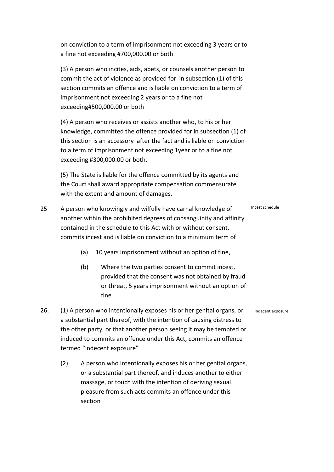on conviction to a term of imprisonment not exceeding 3 years or to a fine not exceeding #700,000.00 or both

(3) A person who incites, aids, abets, or counsels another person to commit the act of violence as provided for in subsection (1) of this section commits an offence and is liable on conviction to a term of imprisonment not exceeding 2 years or to a fine not exceeding#500,000.00 or both

(4) A person who receives or assists another who, to his or her knowledge, committed the offence provided for in subsection (1) of this section is an accessory after the fact and is liable on conviction to a term of imprisonment not exceeding 1year or to a fine not exceeding #300,000.00 or both.

(5) The State is liable for the offence committed by its agents and the Court shall award appropriate compensation commensurate with the extent and amount of damages.

- 25 A person who knowingly and wilfully have carnal knowledge of another within the prohibited degrees of consanguinity and affinity contained in the schedule to this Act with or without consent, commits incest and is liable on conviction to a minimum term of
	- (a) 10 years imprisonment without an option of fine,
	- (b) Where the two parties consent to commit incest, provided that the consent was not obtained by fraud or threat, 5 years imprisonment without an option of fine
- 26. (1) A person who intentionally exposes his or her genital organs, or a substantial part thereof, with the intention of causing distress to the other party, or that another person seeing it may be tempted or induced to commits an offence under this Act, commits an offence termed "indecent exposure"
	- (2) A person who intentionally exposes his or her genital organs, or a substantial part thereof, and induces another to either massage, or touch with the intention of deriving sexual pleasure from such acts commits an offence under this section

Incest schedule

Indecent exposure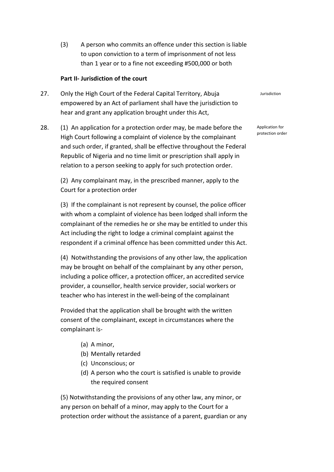(3) A person who commits an offence under this section is liable to upon conviction to a term of imprisonment of not less than 1 year or to a fine not exceeding #500,000 or both

#### **Part II- Jurisdiction of the court**

- 27. Only the High Court of the Federal Capital Territory, Abuja empowered by an Act of parliament shall have the jurisdiction to hear and grant any application brought under this Act,
- 28. (1) An application for a protection order may, be made before the High Court following a complaint of violence by the complainant and such order, if granted, shall be effective throughout the Federal Republic of Nigeria and no time limit or prescription shall apply in relation to a person seeking to apply for such protection order.

(2) Any complainant may, in the prescribed manner, apply to the Court for a protection order

(3) If the complainant is not represent by counsel, the police officer with whom a complaint of violence has been lodged shall inform the complainant of the remedies he or she may be entitled to under this Act including the right to lodge a criminal complaint against the respondent if a criminal offence has been committed under this Act.

(4) Notwithstanding the provisions of any other law, the application may be brought on behalf of the complainant by any other person, including a police officer, a protection officer, an accredited service provider, a counsellor, health service provider, social workers or teacher who has interest in the well-being of the complainant

Provided that the application shall be brought with the written consent of the complainant, except in circumstances where the complainant is-

- (a) A minor,
- (b) Mentally retarded
- (c) Unconscious; or
- (d) A person who the court is satisfied is unable to provide the required consent

(5) Notwithstanding the provisions of any other law, any minor, or any person on behalf of a minor, may apply to the Court for a protection order without the assistance of a parent, guardian or any Jurisdiction

Application for protection order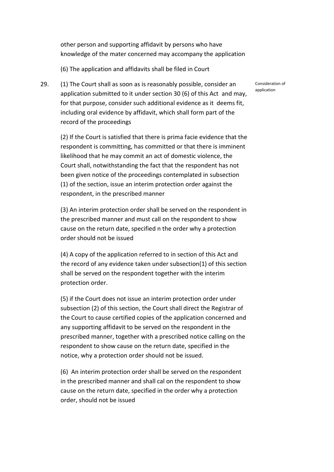other person and supporting affidavit by persons who have knowledge of the mater concerned may accompany the application

(6) The application and affidavits shall be filed in Court

29. (1) The Court shall as soon as is reasonably possible, consider an application submitted to it under section 30 (6) of this Act and may, for that purpose, consider such additional evidence as it deems fit, including oral evidence by affidavit, which shall form part of the record of the proceedings

(2) If the Court is satisfied that there is prima facie evidence that the respondent is committing, has committed or that there is imminent likelihood that he may commit an act of domestic violence, the Court shall, notwithstanding the fact that the respondent has not been given notice of the proceedings contemplated in subsection (1) of the section, issue an interim protection order against the respondent, in the prescribed manner

(3) An interim protection order shall be served on the respondent in the prescribed manner and must call on the respondent to show cause on the return date, specified n the order why a protection order should not be issued

(4) A copy of the application referred to in section of this Act and the record of any evidence taken under subsection(1) of this section shall be served on the respondent together with the interim protection order.

(5) if the Court does not issue an interim protection order under subsection (2) of this section, the Court shall direct the Registrar of the Court to cause certified copies of the application concerned and any supporting affidavit to be served on the respondent in the prescribed manner, together with a prescribed notice calling on the respondent to show cause on the return date, specified in the notice, why a protection order should not be issued.

(6) An interim protection order shall be served on the respondent in the prescribed manner and shall cal on the respondent to show cause on the return date, specified in the order why a protection order, should not be issued

Consideration of application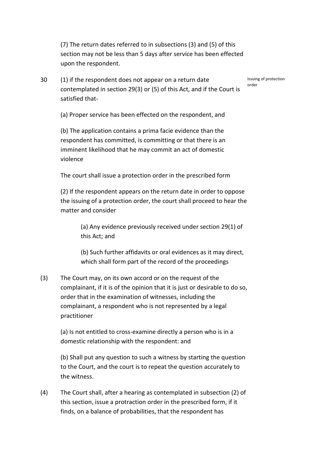(7) The return dates referred to in subsections (3) and (5) of this section may not be less than 5 days after service has been effected upon the respondent.

30 (1) if the respondent does not appear on a return date contemplated in section 29(3) or (5) of this Act, and if the Court is satisfied that-

Issuing of protection order

(a) Proper service has been effected on the respondent, and

(b) The application contains a prima facie evidence than the respondent has committed, is committing or that there is an imminent likelihood that he may commit an act of domestic violence

The court shall issue a protection order in the prescribed form

(2) If the respondent appears on the return date in order to oppose the issuing of a protection order, the court shall proceed to hear the matter and consider

> (a) Any evidence previously received under section 29(1) of this Act; and

> (b) Such further affidavits or oral evidences as it may direct, which shall form part of the record of the proceedings

(3) The Court may, on its own accord or on the request of the complainant, if it is of the opinion that it is just or desirable to do so, order that in the examination of witnesses, including the complainant, a respondent who is not represented by a legal practitioner

(a) Is not entitled to cross-examine directly a person who is in a domestic relationship with the respondent: and

(b) Shall put any question to such a witness by starting the question to the Court, and the court is to repeat the question accurately to the witness.

(4) The Court shall, after a hearing as contemplated in subsection (2) of this section, issue a protraction order in the prescribed form, if it finds, on a balance of probabilities, that the respondent has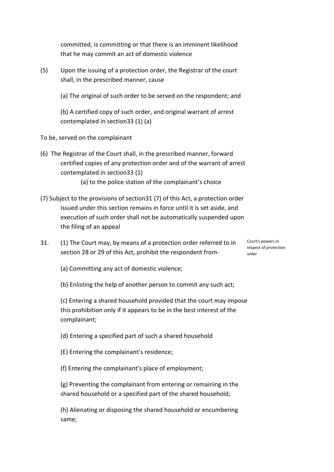committed, is committing or that there is an imminent likelihood that he may commit an act of domestic violence

- (5) Upon the issuing of a protection order, the Registrar of the court shall, in the prescribed manner, cause
	- (a) The original of such order to be served on the respondent; and

(b) A certified copy of such order, and original warrant of arrest contemplated in section33 (1) (a)

- To be, served on the complainant
- (6) The Registrar of the Court shall, in the prescribed manner, forward certified copies of any protection order and of the warrant of arrest contemplated in section33 (1)
	- (a) to the police station of the complainant's choice
- (7) Subject to the provisions of section31 (7) of this Act, a protection order issued under this section remains in force until it is set aside, and execution of such order shall not be automatically suspended upon the filing of an appeal
- 31. (1) The Court may, by means of a protection order referred to in section 28 or 29 of this Act, prohibit the respondent from-

Court's powers in respect of protection order

- (a) Committing any act of domestic violence;
- (b) Enlisting the help of another person to commit any such act;

(c) Entering a shared household provided that the court may impose this prohibition only if it appears to be in the best interest of the complainant;

- (d) Entering a specified part of such a shared household
- (E) Entering the complainant's residence;
- (f) Entering the complainant's place of employment;

(g) Preventing the complainant from entering or remaining in the shared household or a specified part of the shared household;

(h) Alienating or disposing the shared household or encumbering same;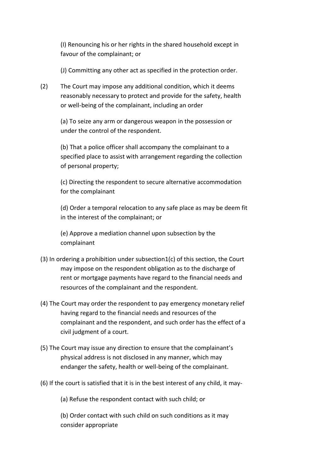(I) Renouncing his or her rights in the shared household except in favour of the complainant; or

(J) Committing any other act as specified in the protection order.

(2) The Court may impose any additional condition, which it deems reasonably necessary to protect and provide for the safety, health or well-being of the complainant, including an order

(a) To seize any arm or dangerous weapon in the possession or under the control of the respondent.

(b) That a police officer shall accompany the complainant to a specified place to assist with arrangement regarding the collection of personal property;

(c) Directing the respondent to secure alternative accommodation for the complainant

(d) Order a temporal relocation to any safe place as may be deem fit in the interest of the complainant; or

(e) Approve a mediation channel upon subsection by the complainant

- (3) In ordering a prohibition under subsection1(c) of this section, the Court may impose on the respondent obligation as to the discharge of rent or mortgage payments have regard to the financial needs and resources of the complainant and the respondent.
- (4) The Court may order the respondent to pay emergency monetary relief having regard to the financial needs and resources of the complainant and the respondent, and such order has the effect of a civil judgment of a court.
- (5) The Court may issue any direction to ensure that the complainant's physical address is not disclosed in any manner, which may endanger the safety, health or well-being of the complainant.
- (6) If the court is satisfied that it is in the best interest of any child, it may-

(a) Refuse the respondent contact with such child; or

(b) Order contact with such child on such conditions as it may consider appropriate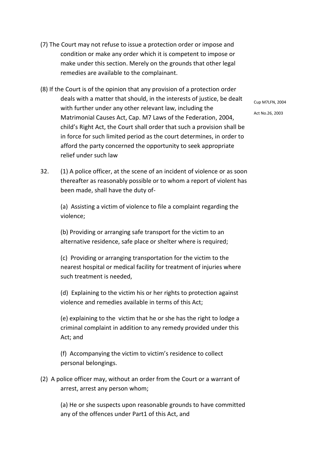- (7) The Court may not refuse to issue a protection order or impose and condition or make any order which it is competent to impose or make under this section. Merely on the grounds that other legal remedies are available to the complainant.
- (8) If the Court is of the opinion that any provision of a protection order deals with a matter that should, in the interests of justice, be dealt with further under any other relevant law, including the Matrimonial Causes Act, Cap. M7 Laws of the Federation, 2004, child's Right Act, the Court shall order that such a provision shall be in force for such limited period as the court determines, in order to afford the party concerned the opportunity to seek appropriate relief under such law
- 32. (1) A police officer, at the scene of an incident of violence or as soon thereafter as reasonably possible or to whom a report of violent has been made, shall have the duty of-

(a) Assisting a victim of violence to file a complaint regarding the violence;

(b) Providing or arranging safe transport for the victim to an alternative residence, safe place or shelter where is required;

(c) Providing or arranging transportation for the victim to the nearest hospital or medical facility for treatment of injuries where such treatment is needed,

(d) Explaining to the victim his or her rights to protection against violence and remedies available in terms of this Act;

(e) explaining to the victim that he or she has the right to lodge a criminal complaint in addition to any remedy provided under this Act; and

(f) Accompanying the victim to victim's residence to collect personal belongings.

(2) A police officer may, without an order from the Court or a warrant of arrest, arrest any person whom;

(a) He or she suspects upon reasonable grounds to have committed any of the offences under Part1 of this Act, and

Cup M7LFN, 2004 Act No.26, 2003